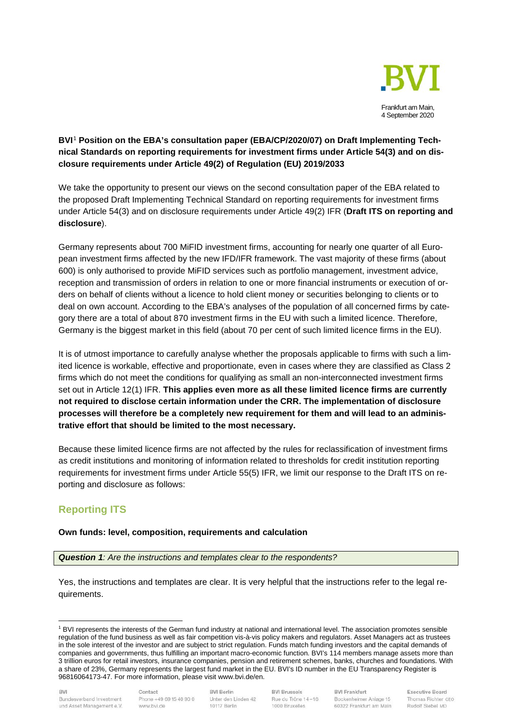

## **BVI**[1](#page-0-0) **Position on the EBA's consultation paper (EBA/CP/2020/07) on Draft Implementing Technical Standards on reporting requirements for investment firms under Article 54(3) and on disclosure requirements under Article 49(2) of Regulation (EU) 2019/2033**

We take the opportunity to present our views on the second consultation paper of the EBA related to the proposed Draft Implementing Technical Standard on reporting requirements for investment firms under Article 54(3) and on disclosure requirements under Article 49(2) IFR (**Draft ITS on reporting and disclosure**).

Germany represents about 700 MiFID investment firms, accounting for nearly one quarter of all European investment firms affected by the new IFD/IFR framework. The vast majority of these firms (about 600) is only authorised to provide MiFID services such as portfolio management, investment advice, reception and transmission of orders in relation to one or more financial instruments or execution of orders on behalf of clients without a licence to hold client money or securities belonging to clients or to deal on own account. According to the EBA's analyses of the population of all concerned firms by category there are a total of about 870 investment firms in the EU with such a limited licence. Therefore, Germany is the biggest market in this field (about 70 per cent of such limited licence firms in the EU).

It is of utmost importance to carefully analyse whether the proposals applicable to firms with such a limited licence is workable, effective and proportionate, even in cases where they are classified as Class 2 firms which do not meet the conditions for qualifying as small an non-interconnected investment firms set out in Article 12(1) IFR. **This applies even more as all these limited licence firms are currently not required to disclose certain information under the CRR. The implementation of disclosure processes will therefore be a completely new requirement for them and will lead to an administrative effort that should be limited to the most necessary.**

Because these limited licence firms are not affected by the rules for reclassification of investment firms as credit institutions and monitoring of information related to thresholds for credit institution reporting requirements for investment firms under Article 55(5) IFR, we limit our response to the Draft ITS on reporting and disclosure as follows:

# **Reporting ITS**

## **Own funds: level, composition, requirements and calculation**

*Question 1: Are the instructions and templates clear to the respondents?*

Yes, the instructions and templates are clear. It is very helpful that the instructions refer to the legal requirements.

<span id="page-0-0"></span><sup>1</sup> BVI represents the interests of the German fund industry at national and international level. The association promotes sensible regulation of the fund business as well as fair competition vis-à-vis policy makers and regulators. Asset Managers act as trustees in the sole interest of the investor and are subject to strict regulation. Funds match funding investors and the capital demands of companies and governments, thus fulfilling an important macro-economic function. BVI's 114 members manage assets more than 3 trillion euros for retail investors, insurance companies, pension and retirement schemes, banks, churches and foundations. With a share of 23%, Germany represents the largest fund market in the EU. BVI's ID number in the EU Transparency Register is 96816064173-47. For more information, please visit www.bvi.de/en.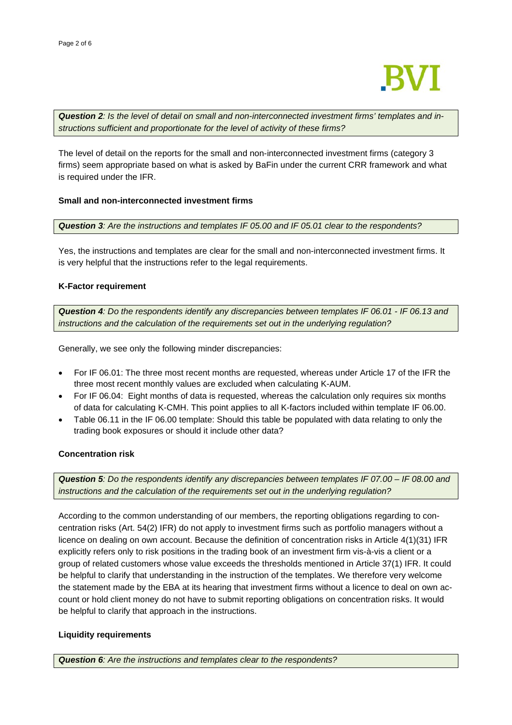

*Question 2: Is the level of detail on small and non-interconnected investment firms' templates and instructions sufficient and proportionate for the level of activity of these firms?*

The level of detail on the reports for the small and non-interconnected investment firms (category 3 firms) seem appropriate based on what is asked by BaFin under the current CRR framework and what is required under the IFR.

### **Small and non-interconnected investment firms**

*Question 3: Are the instructions and templates IF 05.00 and IF 05.01 clear to the respondents?*

Yes, the instructions and templates are clear for the small and non-interconnected investment firms. It is very helpful that the instructions refer to the legal requirements.

### **K-Factor requirement**

*Question 4: Do the respondents identify any discrepancies between templates IF 06.01 - IF 06.13 and instructions and the calculation of the requirements set out in the underlying regulation?* 

Generally, we see only the following minder discrepancies:

- For IF 06.01: The three most recent months are requested, whereas under Article 17 of the IFR the three most recent monthly values are excluded when calculating K-AUM.
- For IF 06.04: Eight months of data is requested, whereas the calculation only requires six months of data for calculating K-CMH. This point applies to all K-factors included within template IF 06.00.
- Table 06.11 in the IF 06.00 template: Should this table be populated with data relating to only the trading book exposures or should it include other data?

### **Concentration risk**

*Question 5: Do the respondents identify any discrepancies between templates IF 07.00 – IF 08.00 and instructions and the calculation of the requirements set out in the underlying regulation?*

According to the common understanding of our members, the reporting obligations regarding to concentration risks (Art. 54(2) IFR) do not apply to investment firms such as portfolio managers without a licence on dealing on own account. Because the definition of concentration risks in Article 4(1)(31) IFR explicitly refers only to risk positions in the trading book of an investment firm vis-à-vis a client or a group of related customers whose value exceeds the thresholds mentioned in Article 37(1) IFR. It could be helpful to clarify that understanding in the instruction of the templates. We therefore very welcome the statement made by the EBA at its hearing that investment firms without a licence to deal on own account or hold client money do not have to submit reporting obligations on concentration risks. It would be helpful to clarify that approach in the instructions.

### **Liquidity requirements**

*Question 6: Are the instructions and templates clear to the respondents?*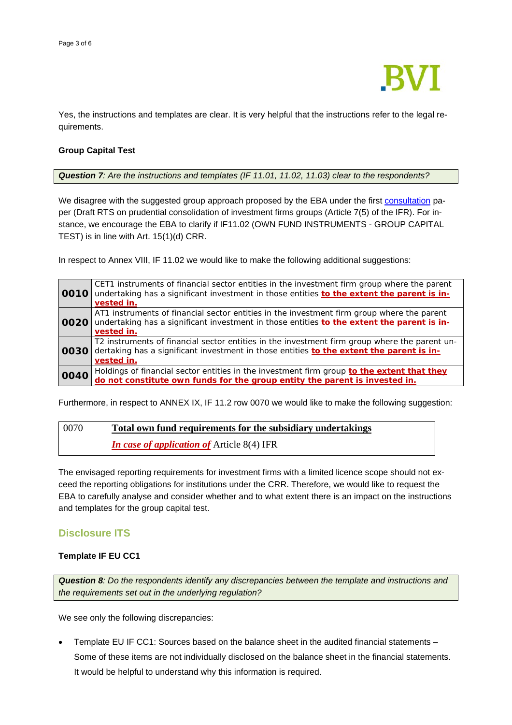

Yes, the instructions and templates are clear. It is very helpful that the instructions refer to the legal requirements.

### **Group Capital Test**

*Question 7: Are the instructions and templates (IF 11.01, 11.02, 11.03) clear to the respondents?*

We disagree with the suggested group approach proposed by the EBA under the first [consultation](https://eba.europa.eu/sites/default/documents/files/document_library/Publications/Consultations/2020/CP%20on%20draft%20RTS%20on%20prudential%20requirements%20for%20Investment%20Firms/884615/EBA-CP-2020-06%20CP%20on%20draft%20RTS%20on%20prudential%20requirements%20for%20Investment%20Firms.pdf) paper (Draft RTS on prudential consolidation of investment firms groups (Article 7(5) of the IFR). For instance, we encourage the EBA to clarify if IF11.02 (OWN FUND INSTRUMENTS - GROUP CAPITAL TEST) is in line with Art. 15(1)(d) CRR.

In respect to Annex VIII, IF 11.02 we would like to make the following additional suggestions:

| 0010 | CET1 instruments of financial sector entities in the investment firm group where the parent<br>undertaking has a significant investment in those entities to the extent the parent is in-<br>vested in. |
|------|---------------------------------------------------------------------------------------------------------------------------------------------------------------------------------------------------------|
| 0020 | AT1 instruments of financial sector entities in the investment firm group where the parent<br>undertaking has a significant investment in those entities to the extent the parent is in-<br>vested in.  |
| 0030 | T2 instruments of financial sector entities in the investment firm group where the parent un-<br>dertaking has a significant investment in those entities to the extent the parent is in-<br>vested in. |
| 0040 | Holdings of financial sector entities in the investment firm group <i>to the extent that they do not constitute own funds for the group entity the parent is invested in.</i>                           |

Furthermore, in respect to ANNEX IX, IF 11.2 row 0070 we would like to make the following suggestion:

# 0070 **Total own fund requirements for the subsidiary undertakings** *In case of application of* Article 8(4) IFR

The envisaged reporting requirements for investment firms with a limited licence scope should not exceed the reporting obligations for institutions under the CRR. Therefore, we would like to request the EBA to carefully analyse and consider whether and to what extent there is an impact on the instructions and templates for the group capital test.

## **Disclosure ITS**

### **Template IF EU CC1**

*Question 8: Do the respondents identify any discrepancies between the template and instructions and the requirements set out in the underlying regulation?* 

We see only the following discrepancies:

• Template EU IF CC1: Sources based on the balance sheet in the audited financial statements – Some of these items are not individually disclosed on the balance sheet in the financial statements. It would be helpful to understand why this information is required.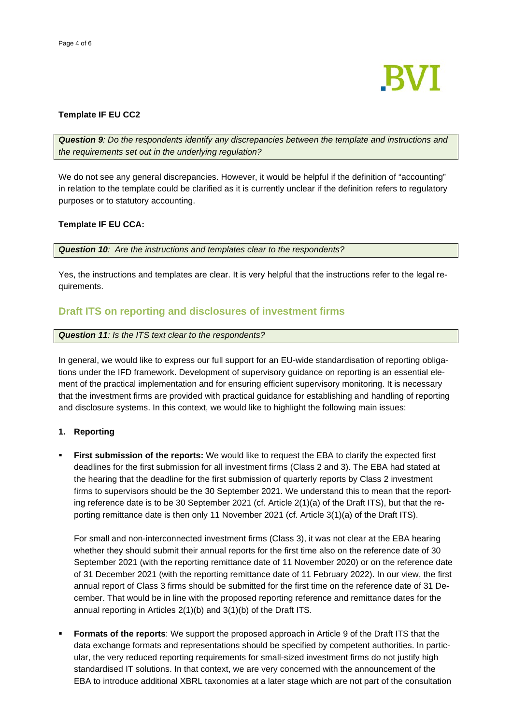

### **Template IF EU CC2**

*Question 9: Do the respondents identify any discrepancies between the template and instructions and the requirements set out in the underlying regulation?* 

We do not see any general discrepancies. However, it would be helpful if the definition of "accounting" in relation to the template could be clarified as it is currently unclear if the definition refers to regulatory purposes or to statutory accounting.

## **Template IF EU CCA:**

*Question 10: Are the instructions and templates clear to the respondents?*

Yes, the instructions and templates are clear. It is very helpful that the instructions refer to the legal requirements.

# **Draft ITS on reporting and disclosures of investment firms**

*Question 11: Is the ITS text clear to the respondents?*

In general, we would like to express our full support for an EU-wide standardisation of reporting obligations under the IFD framework. Development of supervisory guidance on reporting is an essential element of the practical implementation and for ensuring efficient supervisory monitoring. It is necessary that the investment firms are provided with practical guidance for establishing and handling of reporting and disclosure systems. In this context, we would like to highlight the following main issues:

## **1. Reporting**

 **First submission of the reports:** We would like to request the EBA to clarify the expected first deadlines for the first submission for all investment firms (Class 2 and 3). The EBA had stated at the hearing that the deadline for the first submission of quarterly reports by Class 2 investment firms to supervisors should be the 30 September 2021. We understand this to mean that the reporting reference date is to be 30 September 2021 (cf. Article 2(1)(a) of the Draft ITS), but that the reporting remittance date is then only 11 November 2021 (cf. Article 3(1)(a) of the Draft ITS).

For small and non-interconnected investment firms (Class 3), it was not clear at the EBA hearing whether they should submit their annual reports for the first time also on the reference date of 30 September 2021 (with the reporting remittance date of 11 November 2020) or on the reference date of 31 December 2021 (with the reporting remittance date of 11 February 2022). In our view, the first annual report of Class 3 firms should be submitted for the first time on the reference date of 31 December. That would be in line with the proposed reporting reference and remittance dates for the annual reporting in Articles 2(1)(b) and 3(1)(b) of the Draft ITS.

 **Formats of the reports**: We support the proposed approach in Article 9 of the Draft ITS that the data exchange formats and representations should be specified by competent authorities. In particular, the very reduced reporting requirements for small-sized investment firms do not justify high standardised IT solutions. In that context, we are very concerned with the announcement of the EBA to introduce additional XBRL taxonomies at a later stage which are not part of the consultation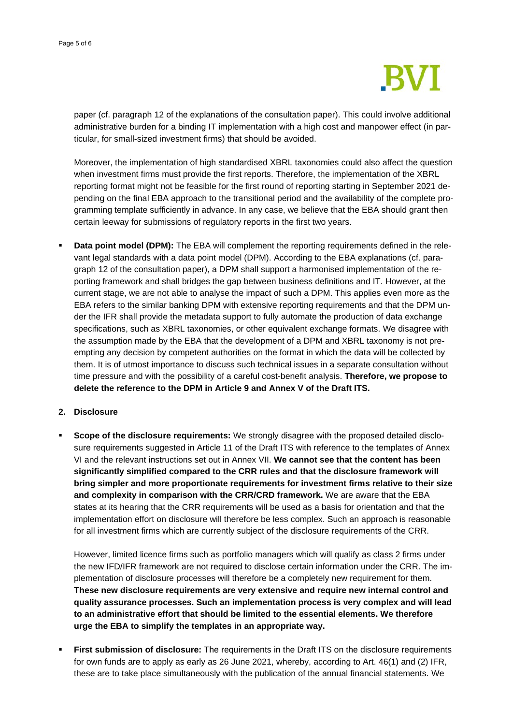

paper (cf. paragraph 12 of the explanations of the consultation paper). This could involve additional administrative burden for a binding IT implementation with a high cost and manpower effect (in particular, for small-sized investment firms) that should be avoided.

Moreover, the implementation of high standardised XBRL taxonomies could also affect the question when investment firms must provide the first reports. Therefore, the implementation of the XBRL reporting format might not be feasible for the first round of reporting starting in September 2021 depending on the final EBA approach to the transitional period and the availability of the complete programming template sufficiently in advance. In any case, we believe that the EBA should grant then certain leeway for submissions of regulatory reports in the first two years.

**Data point model (DPM):** The EBA will complement the reporting requirements defined in the relevant legal standards with a data point model (DPM). According to the EBA explanations (cf. paragraph 12 of the consultation paper), a DPM shall support a harmonised implementation of the reporting framework and shall bridges the gap between business definitions and IT. However, at the current stage, we are not able to analyse the impact of such a DPM. This applies even more as the EBA refers to the similar banking DPM with extensive reporting requirements and that the DPM under the IFR shall provide the metadata support to fully automate the production of data exchange specifications, such as XBRL taxonomies, or other equivalent exchange formats. We disagree with the assumption made by the EBA that the development of a DPM and XBRL taxonomy is not preempting any decision by competent authorities on the format in which the data will be collected by them. It is of utmost importance to discuss such technical issues in a separate consultation without time pressure and with the possibility of a careful cost-benefit analysis. **Therefore, we propose to delete the reference to the DPM in Article 9 and Annex V of the Draft ITS.** 

### **2. Disclosure**

**Scope of the disclosure requirements:** We strongly disagree with the proposed detailed disclosure requirements suggested in Article 11 of the Draft ITS with reference to the templates of Annex VI and the relevant instructions set out in Annex VII. **We cannot see that the content has been significantly simplified compared to the CRR rules and that the disclosure framework will bring simpler and more proportionate requirements for investment firms relative to their size and complexity in comparison with the CRR/CRD framework.** We are aware that the EBA states at its hearing that the CRR requirements will be used as a basis for orientation and that the implementation effort on disclosure will therefore be less complex. Such an approach is reasonable for all investment firms which are currently subject of the disclosure requirements of the CRR.

However, limited licence firms such as portfolio managers which will qualify as class 2 firms under the new IFD/IFR framework are not required to disclose certain information under the CRR. The implementation of disclosure processes will therefore be a completely new requirement for them. **These new disclosure requirements are very extensive and require new internal control and quality assurance processes. Such an implementation process is very complex and will lead to an administrative effort that should be limited to the essential elements. We therefore urge the EBA to simplify the templates in an appropriate way.** 

**First submission of disclosure:** The requirements in the Draft ITS on the disclosure requirements for own funds are to apply as early as 26 June 2021, whereby, according to Art. 46(1) and (2) IFR, these are to take place simultaneously with the publication of the annual financial statements. We